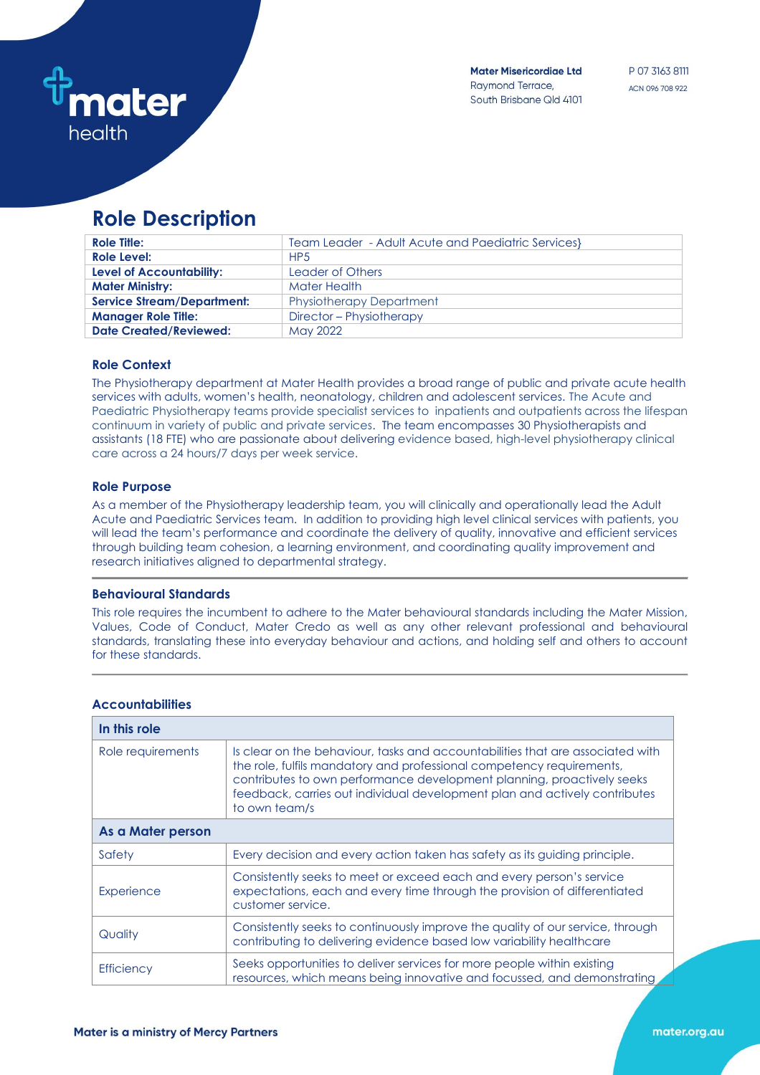

**Mater Misericordiae Ltd** Raymond Terrace, South Brisbane Qld 4101

# **Role Description**

| <b>Role Title:</b>                | Team Leader - Adult Acute and Paediatric Services |
|-----------------------------------|---------------------------------------------------|
| Role Level:                       | HP <sub>5</sub>                                   |
| <b>Level of Accountability:</b>   | Leader of Others                                  |
| <b>Mater Ministry:</b>            | Mater Health                                      |
| <b>Service Stream/Department:</b> | <b>Physiotherapy Department</b>                   |
| <b>Manager Role Title:</b>        | Director - Physiotherapy                          |
| <b>Date Created/Reviewed:</b>     | May 2022                                          |

#### **Role Context**

The Physiotherapy department at Mater Health provides a broad range of public and private acute health services with adults, women's health, neonatology, children and adolescent services. The Acute and Paediatric Physiotherapy teams provide specialist services to inpatients and outpatients across the lifespan continuum in variety of public and private services. The team encompasses 30 Physiotherapists and assistants (18 FTE) who are passionate about delivering evidence based, high-level physiotherapy clinical care across a 24 hours/7 days per week service.

#### **Role Purpose**

As a member of the Physiotherapy leadership team, you will clinically and operationally lead the Adult Acute and Paediatric Services team. In addition to providing high level clinical services with patients, you will lead the team's performance and coordinate the delivery of quality, innovative and efficient services through building team cohesion, a learning environment, and coordinating quality improvement and research initiatives aligned to departmental strategy.

#### **Behavioural Standards**

This role requires the incumbent to adhere to the Mater behavioural standards including the Mater Mission, Values, Code of Conduct, Mater Credo as well as any other relevant professional and behavioural standards, translating these into everyday behaviour and actions, and holding self and others to account for these standards.

| In this role      |                                                                                                                                                                                                                                                                                                                                  |  |
|-------------------|----------------------------------------------------------------------------------------------------------------------------------------------------------------------------------------------------------------------------------------------------------------------------------------------------------------------------------|--|
| Role requirements | Is clear on the behaviour, tasks and accountabilities that are associated with<br>the role, fulfils mandatory and professional competency requirements,<br>contributes to own performance development planning, proactively seeks<br>feedback, carries out individual development plan and actively contributes<br>to own team/s |  |
| As a Mater person |                                                                                                                                                                                                                                                                                                                                  |  |
| Safety            | Every decision and every action taken has safety as its quiding principle.                                                                                                                                                                                                                                                       |  |
| Experience        | Consistently seeks to meet or exceed each and every person's service<br>expectations, each and every time through the provision of differentiated<br>customer service.                                                                                                                                                           |  |
| Quality           | Consistently seeks to continuously improve the quality of our service, through<br>contributing to delivering evidence based low variability healthcare                                                                                                                                                                           |  |
| <b>Efficiency</b> | Seeks opportunities to deliver services for more people within existing<br>resources, which means being innovative and focussed, and demonstrating                                                                                                                                                                               |  |

### **Accountabilities**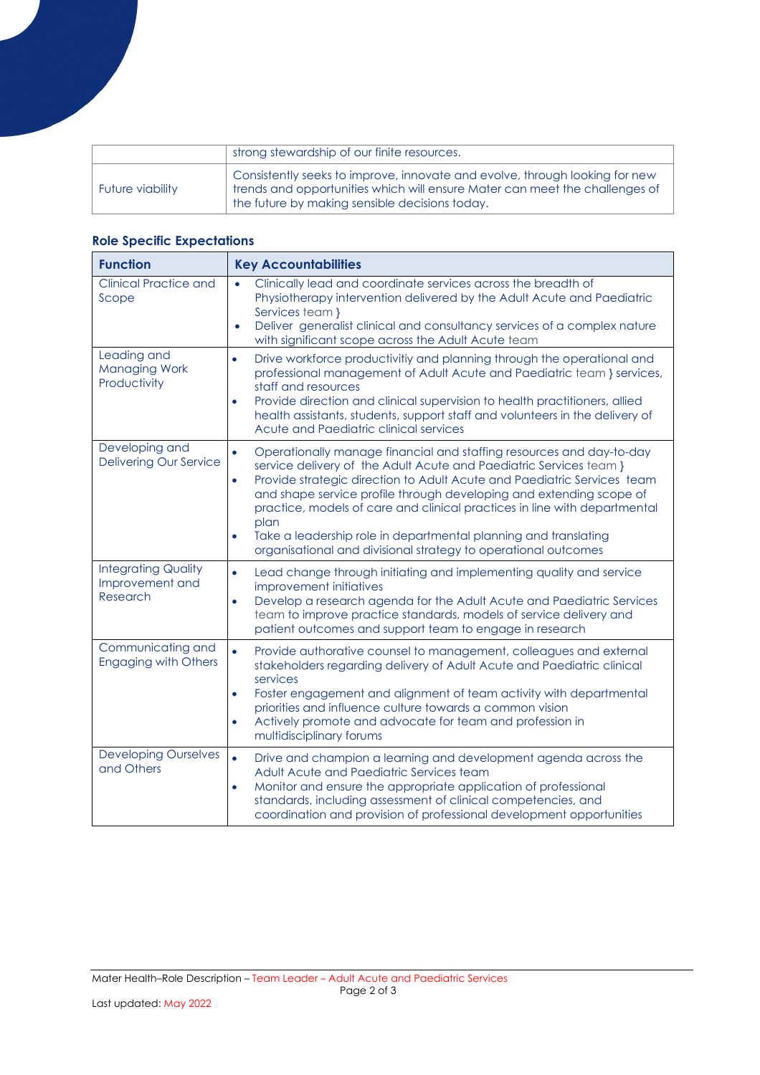|                  | strong stewardship of our finite resources.                                                                                                                                                                  |
|------------------|--------------------------------------------------------------------------------------------------------------------------------------------------------------------------------------------------------------|
| Future viability | Consistently seeks to improve, innovate and evolve, through looking for new<br>trends and opportunities which will ensure Mater can meet the challenges of<br>the future by making sensible decisions today. |

# **Role Specific Expectations**

| <b>Function</b>                                           | <b>Key Accountabilities</b>                                                                                                                                                                                                                                                                                                                                                                                                                                                                                                                                   |
|-----------------------------------------------------------|---------------------------------------------------------------------------------------------------------------------------------------------------------------------------------------------------------------------------------------------------------------------------------------------------------------------------------------------------------------------------------------------------------------------------------------------------------------------------------------------------------------------------------------------------------------|
| <b>Clinical Practice and</b><br>Scope                     | Clinically lead and coordinate services across the breadth of<br>$\bullet$<br>Physiotherapy intervention delivered by the Adult Acute and Paediatric<br>Services team }<br>Deliver generalist clinical and consultancy services of a complex nature<br>$\bullet$<br>with significant scope across the Adult Acute team                                                                                                                                                                                                                                        |
| Leading and<br><b>Managing Work</b><br>Productivity       | Drive workforce productivitiy and planning through the operational and<br>$\bullet$<br>professional management of Adult Acute and Paediatric team } services,<br>staff and resources<br>Provide direction and clinical supervision to health practitioners, allied<br>$\bullet$<br>health assistants, students, support staff and volunteers in the delivery of<br>Acute and Paediatric clinical services                                                                                                                                                     |
| Developing and<br><b>Delivering Our Service</b>           | Operationally manage financial and staffing resources and day-to-day<br>$\bullet$<br>service delivery of the Adult Acute and Paediatric Services team }<br>Provide strategic direction to Adult Acute and Paediatric Services team<br>$\bullet$<br>and shape service profile through developing and extending scope of<br>practice, models of care and clinical practices in line with departmental<br>plan<br>Take a leadership role in departmental planning and translating<br>$\bullet$<br>organisational and divisional strategy to operational outcomes |
| <b>Integrating Quality</b><br>Improvement and<br>Research | Lead change through initiating and implementing quality and service<br>$\bullet$<br>improvement initiatives<br>Develop a research agenda for the Adult Acute and Paediatric Services<br>$\bullet$<br>team to improve practice standards, models of service delivery and<br>patient outcomes and support team to engage in research                                                                                                                                                                                                                            |
| Communicating and<br><b>Engaging with Others</b>          | Provide authorative counsel to management, colleagues and external<br>$\bullet$<br>stakeholders regarding delivery of Adult Acute and Paediatric clinical<br>services<br>Foster engagement and alignment of team activity with departmental<br>$\bullet$<br>priorities and influence culture towards a common vision<br>Actively promote and advocate for team and profession in<br>$\bullet$<br>multidisciplinary forums                                                                                                                                     |
| <b>Developing Ourselves</b><br>and Others                 | $\bullet$<br>Drive and champion a learning and development agenda across the<br>Adult Acute and Paediatric Services team<br>Monitor and ensure the appropriate application of professional<br>$\bullet$<br>standards, including assessment of clinical competencies, and<br>coordination and provision of professional development opportunities                                                                                                                                                                                                              |